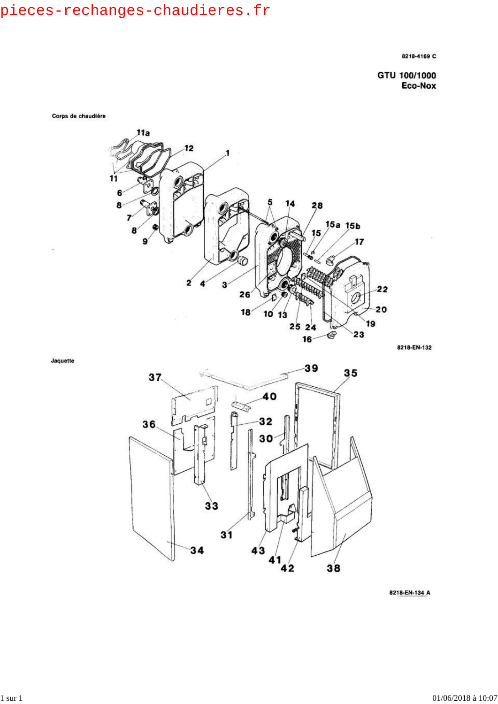8218-4169 C

GTU 100/1000 Eco-Nox



Jaquette





8218-EN-134 A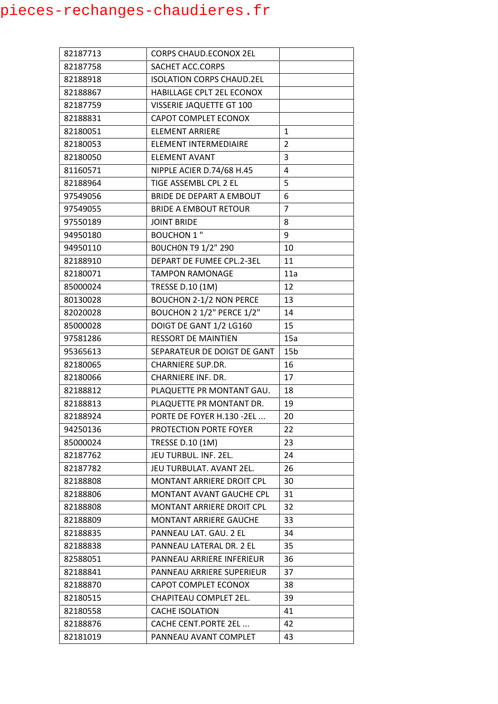| 82187713 | <b>CORPS CHAUD.ECONOX 2EL</b>    |                 |
|----------|----------------------------------|-----------------|
| 82187758 | SACHET ACC.CORPS                 |                 |
| 82188918 | <b>ISOLATION CORPS CHAUD.2EL</b> |                 |
| 82188867 | HABILLAGE CPLT 2EL ECONOX        |                 |
| 82187759 | VISSERIE JAQUETTE GT 100         |                 |
| 82188831 | CAPOT COMPLET ECONOX             |                 |
| 82180051 | <b>ELEMENT ARRIERE</b>           | 1               |
| 82180053 | ELEMENT INTERMEDIAIRE            | 2               |
| 82180050 | <b>ELEMENT AVANT</b>             | 3               |
| 81160571 | NIPPLE ACIER D.74/68 H.45        | 4               |
| 82188964 | TIGE ASSEMBL CPL 2 EL            | 5               |
| 97549056 | BRIDE DE DEPART A EMBOUT         | 6               |
| 97549055 | <b>BRIDE A EMBOUT RETOUR</b>     | 7               |
| 97550189 | <b>JOINT BRIDE</b>               | 8               |
| 94950180 | <b>BOUCHON 1 "</b>               | 9               |
| 94950110 | BOUCHON T9 1/2" 290              | 10              |
| 82188910 | DEPART DE FUMEE CPL.2-3EL        | 11              |
| 82180071 | <b>TAMPON RAMONAGE</b>           | 11a             |
| 85000024 | TRESSE D.10 (1M)                 | 12              |
| 80130028 | <b>BOUCHON 2-1/2 NON PERCE</b>   | 13              |
| 82020028 | BOUCHON 2 1/2" PERCE 1/2"        | 14              |
| 85000028 | DOIGT DE GANT 1/2 LG160          | 15              |
| 97581286 | <b>RESSORT DE MAINTIEN</b>       | 15a             |
| 95365613 | SEPARATEUR DE DOIGT DE GANT      | 15 <sub>b</sub> |
| 82180065 | <b>CHARNIERE SUP.DR.</b>         | 16              |
| 82180066 | <b>CHARNIERE INF. DR.</b>        | 17              |
| 82188812 | PLAQUETTE PR MONTANT GAU.        | 18              |
| 82188813 | PLAQUETTE PR MONTANT DR.         | 19              |
| 82188924 | PORTE DE FOYER H.130 -2EL        | 20              |
| 94250136 | PROTECTION PORTE FOYER           | 22              |
| 85000024 | TRESSE D.10 (1M)                 | 23              |
| 82187762 | JEU TURBUL. INF. 2EL.            | 24              |
| 82187782 | JEU TURBULAT. AVANT 2EL.         | 26              |
| 82188808 | MONTANT ARRIERE DROIT CPL        | 30              |
| 82188806 | <b>MONTANT AVANT GAUCHE CPL</b>  | 31              |
| 82188808 | MONTANT ARRIERE DROIT CPL        | 32              |
| 82188809 | MONTANT ARRIERE GAUCHE           | 33              |
| 82188835 | PANNEAU LAT. GAU. 2 EL           | 34              |
| 82188838 | PANNEAU LATERAL DR. 2 EL         | 35              |
| 82588051 | PANNEAU ARRIERE INFERIEUR        | 36              |
| 82188841 | PANNEAU ARRIERE SUPERIEUR        | 37              |
| 82188870 | CAPOT COMPLET ECONOX             | 38              |
| 82180515 | CHAPITEAU COMPLET 2EL.           | 39              |
| 82180558 | <b>CACHE ISOLATION</b>           | 41              |
| 82188876 | <b>CACHE CENT.PORTE 2EL </b>     | 42              |
| 82181019 | PANNEAU AVANT COMPLET            | 43              |
|          |                                  |                 |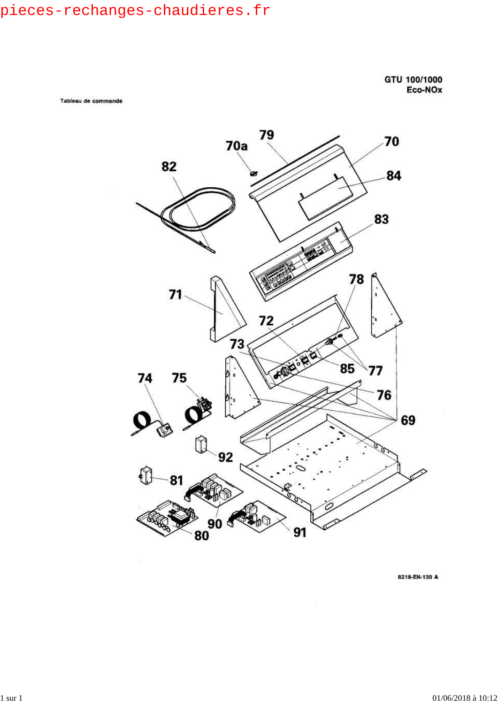GTU 100/1000<br>Eco-NOx

Tableau de commande



8218-EN-130 A